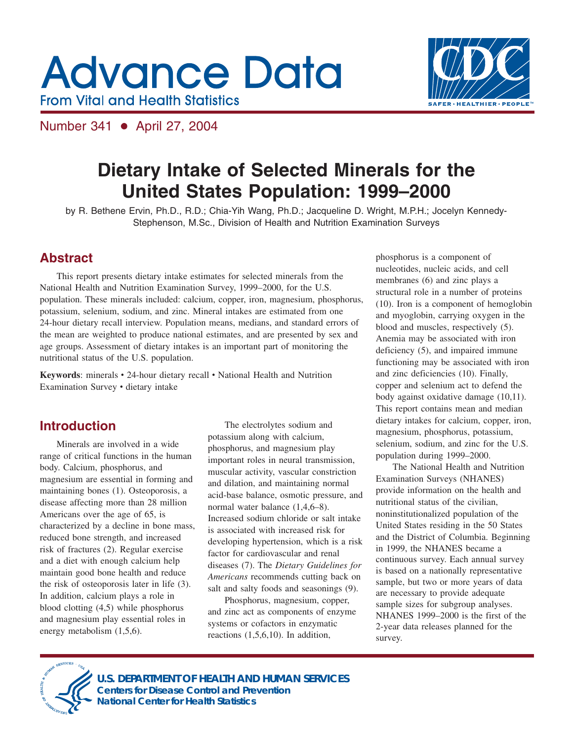# **Advance Data From Vital and Health Statistics**



Number 341 • April 27, 2004

## **Dietary Intake of Selected Minerals for the United States Population: 1999–2000**

by R. Bethene Ervin, Ph.D., R.D.; Chia-Yih Wang, Ph.D.; Jacqueline D. Wright, M.P.H.; Jocelyn Kennedy-Stephenson, M.Sc., Division of Health and Nutrition Examination Surveys

## **Abstract**

This report presents dietary intake estimates for selected minerals from the National Health and Nutrition Examination Survey, 1999–2000, for the U.S. population. These minerals included: calcium, copper, iron, magnesium, phosphorus, potassium, selenium, sodium, and zinc. Mineral intakes are estimated from one 24-hour dietary recall interview. Population means, medians, and standard errors of the mean are weighted to produce national estimates, and are presented by sex and age groups. Assessment of dietary intakes is an important part of monitoring the nutritional status of the U.S. population.

Keywords: minerals • 24-hour dietary recall • National Health and Nutrition Examination Survey • dietary intake

## **Introduction**

Minerals are involved in a wide range of critical functions in the human body. Calcium, phosphorus, and magnesium are essential in forming and maintaining bones (1). Osteoporosis, a disease affecting more than 28 million Americans over the age of 65, is characterized by a decline in bone mass, reduced bone strength, and increased risk of fractures (2). Regular exercise and a diet with enough calcium help maintain good bone health and reduce the risk of osteoporosis later in life (3). In addition, calcium plays a role in blood clotting (4,5) while phosphorus and magnesium play essential roles in energy metabolism (1,5,6).

The electrolytes sodium and potassium along with calcium, phosphorus, and magnesium play important roles in neural transmission, muscular activity, vascular constriction and dilation, and maintaining normal acid-base balance, osmotic pressure, and normal water balance (1,4,6–8). Increased sodium chloride or salt intake is associated with increased risk for developing hypertension, which is a risk factor for cardiovascular and renal diseases (7). The *Dietary Guidelines for Americans* recommends cutting back on salt and salty foods and seasonings (9).

Phosphorus, magnesium, copper, and zinc act as components of enzyme systems or cofactors in enzymatic reactions (1,5,6,10). In addition,

phosphorus is a component of nucleotides, nucleic acids, and cell membranes (6) and zinc plays a structural role in a number of proteins (10). Iron is a component of hemoglobin and myoglobin, carrying oxygen in the blood and muscles, respectively (5). Anemia may be associated with iron deficiency (5), and impaired immune functioning may be associated with iron and zinc deficiencies (10). Finally, copper and selenium act to defend the body against oxidative damage (10,11). This report contains mean and median dietary intakes for calcium, copper, iron, magnesium, phosphorus, potassium, selenium, sodium, and zinc for the U.S. population during 1999–2000.

The National Health and Nutrition Examination Surveys (NHANES) provide information on the health and nutritional status of the civilian, noninstitutionalized population of the United States residing in the 50 States and the District of Columbia. Beginning in 1999, the NHANES became a continuous survey. Each annual survey is based on a nationally representative sample, but two or more years of data are necessary to provide adequate sample sizes for subgroup analyses. NHANES 1999–2000 is the first of the 2-year data releases planned for the survey.



**U.S. DEPARTMENT OF HEALTH AND HUMAN SERVICES Centers for Disease Control and Prevention National Center for Health Statistics**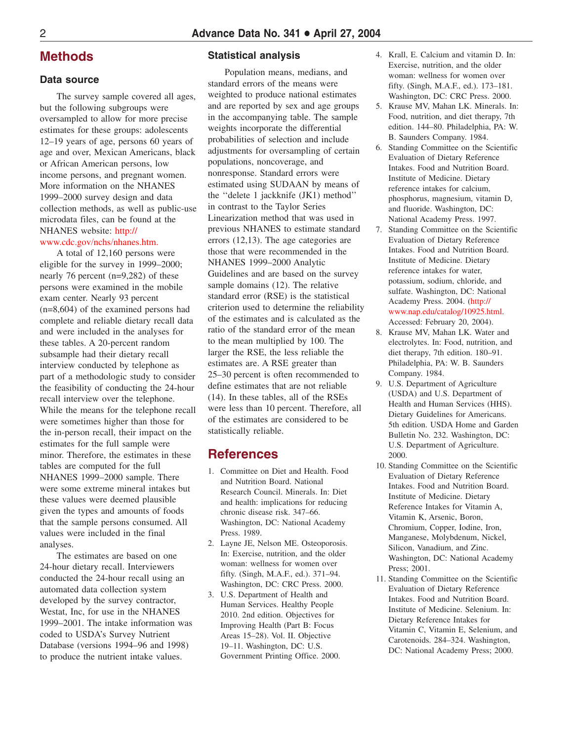#### **Methods**

#### **Data source**

The survey sample covered all ages, but the following subgroups were oversampled to allow for more precise estimates for these groups: adolescents 12–19 years of age, persons 60 years of age and over, Mexican Americans, black or African American persons, low income persons, and pregnant women. More information on the NHANES 1999–2000 survey design and data collection methods, as well as public-use microdata files, can be found at the NHANES website: http://

#### [www.cdc.gov](http://www.cdc.gov/nchs/nhanes.htm)/nchs/nhanes.htm.

A total of 12,160 persons were eligible for the survey in 1999–2000; nearly 76 percent (n=9,282) of these persons were examined in the mobile exam center. Nearly 93 percent (n=8,604) of the examined persons had complete and reliable dietary recall data and were included in the analyses for these tables. A 20-percent random subsample had their dietary recall interview conducted by telephone as part of a methodologic study to consider the feasibility of conducting the 24-hour recall interview over the telephone. While the means for the telephone recall were sometimes higher than those for the in-person recall, their impact on the estimates for the full sample were minor. Therefore, the estimates in these tables are computed for the full NHANES 1999–2000 sample. There were some extreme mineral intakes but these values were deemed plausible given the types and amounts of foods that the sample persons consumed. All values were included in the final analyses.

The estimates are based on one 24-hour dietary recall. Interviewers conducted the 24-hour recall using an automated data collection system developed by the survey contractor, Westat, Inc, for use in the NHANES 1999–2001. The intake information was coded to USDA's Survey Nutrient Database (versions 1994–96 and 1998) to produce the nutrient intake values.

#### **Statistical analysis**

Population means, medians, and standard errors of the means were weighted to produce national estimates and are reported by sex and age groups in the accompanying table. The sample weights incorporate the differential probabilities of selection and include adjustments for oversampling of certain populations, noncoverage, and nonresponse. Standard errors were estimated using SUDAAN by means of the ''delete 1 jackknife (JK1) method'' in contrast to the Taylor Series Linearization method that was used in previous NHANES to estimate standard errors (12,13). The age categories are those that were recommended in the NHANES 1999–2000 Analytic Guidelines and are based on the survey sample domains (12). The relative standard error (RSE) is the statistical criterion used to determine the reliability of the estimates and is calculated as the ratio of the standard error of the mean to the mean multiplied by 100. The larger the RSE, the less reliable the estimates are. A RSE greater than 25–30 percent is often recommended to define estimates that are not reliable (14). In these tables, all of the RSEs were less than 10 percent. Therefore, all of the estimates are considered to be statistically reliable.

#### **References**

- 1. Committee on Diet and Health. Food and Nutrition Board. National Research Council. Minerals. In: Diet and health: implications for reducing chronic disease risk. 347–66. Washington, DC: National Academy Press. 1989.
- 2. Layne JE, Nelson ME. Osteoporosis. In: Exercise, nutrition, and the older woman: wellness for women over fifty. (Singh, M.A.F., ed.). 371–94. Washington, DC: CRC Press. 2000.
- 3. U.S. Department of Health and Human Services. Healthy People 2010. 2nd edition. Objectives for Improving Health (Part B: Focus Areas 15–28). Vol. II. Objective 19–11. Washington, DC: U.S. Government Printing Office. 2000.
- 4. Krall, E. Calcium and vitamin D. In: Exercise, nutrition, and the older woman: wellness for women over fifty. (Singh, M.A.F., ed.). 173–181. Washington, DC: CRC Press. 2000.
- 5. Krause MV, Mahan LK. Minerals. In: Food, nutrition, and diet therapy, 7th edition. 144–80. Philadelphia, PA: W. B. Saunders Company. 1984.
- 6. Standing Committee on the Scientific Evaluation of Dietary Reference Intakes. Food and Nutrition Board. Institute of Medicine. Dietary reference intakes for calcium, phosphorus, magnesium, vitamin D, and fluoride. Washington, DC: National Academy Press. 1997.
- 7. Standing Committee on the Scientific Evaluation of Dietary Reference Intakes. Food and Nutrition Board. Institute of Medicine. Dietary reference intakes for water, potassium, sodium, chloride, and sulfate. Washington, DC: National Academy Press. 2004. [\(http://](http://www.nap.edu/catalog/10925.html) [www.nap.edu/catalog/10925.html.](http://www.nap.edu/catalog/10925.html) Accessed: February 20, 2004).
- 8. Krause MV, Mahan LK. Water and electrolytes. In: Food, nutrition, and diet therapy, 7th edition. 180–91. Philadelphia, PA: W. B. Saunders Company. 1984.
- 9. U.S. Department of Agriculture (USDA) and U.S. Department of Health and Human Services (HHS). Dietary Guidelines for Americans. 5th edition. USDA Home and Garden Bulletin No. 232. Washington, DC: U.S. Department of Agriculture. 2000.
- 10. Standing Committee on the Scientific Evaluation of Dietary Reference Intakes. Food and Nutrition Board. Institute of Medicine. Dietary Reference Intakes for Vitamin A, Vitamin K, Arsenic, Boron, Chromium, Copper, Iodine, Iron, Manganese, Molybdenum, Nickel, Silicon, Vanadium, and Zinc. Washington, DC: National Academy Press; 2001.
- 11. Standing Committee on the Scientific Evaluation of Dietary Reference Intakes. Food and Nutrition Board. Institute of Medicine. Selenium. In: Dietary Reference Intakes for Vitamin C, Vitamin E, Selenium, and Carotenoids. 284–324. Washington, DC: National Academy Press; 2000.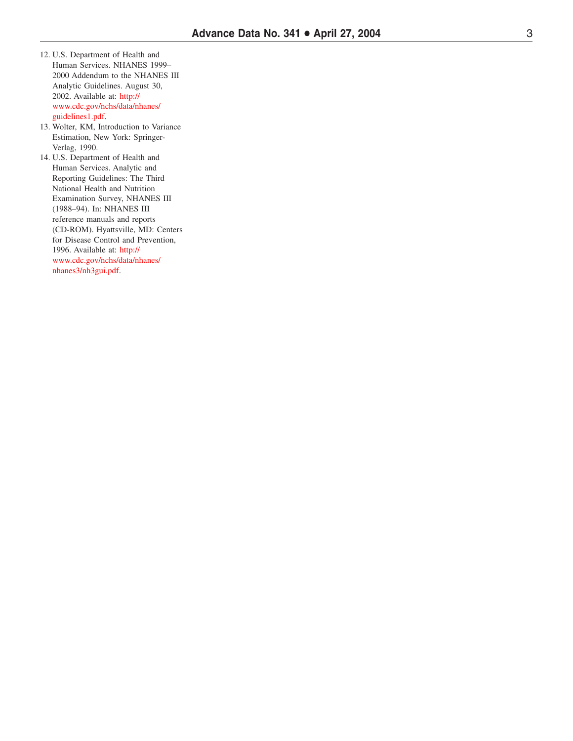- 12. U.S. Department of Health and Human Services. NHANES 1999– 2000 Addendum to the NHANES III Analytic Guidelines. August 30, 2002. Available at: http:// ww [w.cdc.gov/nchs/data/nhanes/](http://www.cdc.gov/nchs/data/nhanes/guidelines1.pdf) guidelines1.pdf .
- 13. Wolter , KM, Introduction to Variance Estimation, New York: Springer - Verlag, 1990.

14. U.S. Department of Health and Human Services. Analytic and Reporting Guidelines: The Third National Health and Nutrition Examination Survey , NHANES III (1988–94). In: NHANES III reference manuals and reports (CD-ROM). Hyattsville, MD: Centers for Disease Control and Prevention, 1996. Available at: http:// ww [w.cdc.gov/nchs/data/nhanes/](http://www.cdc.gov/nchs/data/nhanes/nhanes3/nh3gui.pdf) nhanes3/nh3gui.pdf .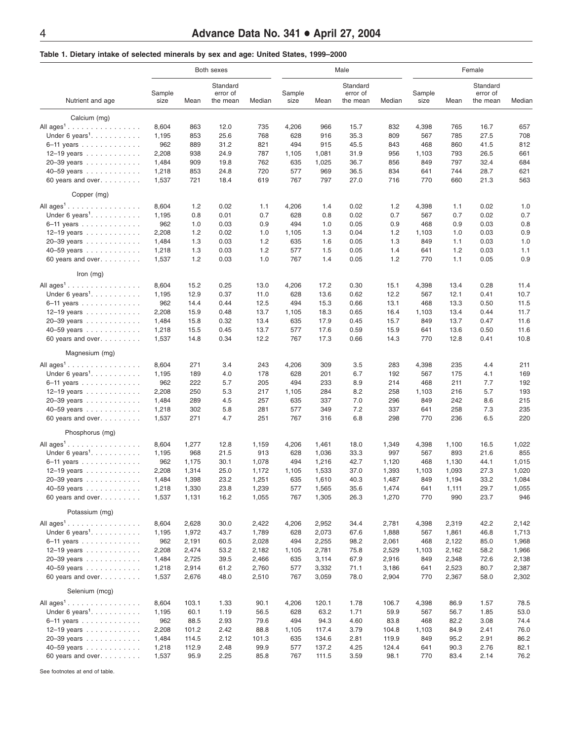#### **Table 1. Dietary intake of selected minerals by sex and age: United States, 1999–2000**

| Nutrient and age                      | Both sexes     |                |                                  |                |                |                | Male                             |                | Female         |                |                                  |                |
|---------------------------------------|----------------|----------------|----------------------------------|----------------|----------------|----------------|----------------------------------|----------------|----------------|----------------|----------------------------------|----------------|
|                                       | Sample<br>size | Mean           | Standard<br>error of<br>the mean | Median         | Sample<br>size | Mean           | Standard<br>error of<br>the mean | Median         | Sample<br>size | Mean           | Standard<br>error of<br>the mean | Median         |
| Calcium (mg)                          |                |                |                                  |                |                |                |                                  |                |                |                |                                  |                |
| All $ages1$                           | 8,604          | 863            | 12.0                             | 735            | 4,206          | 966            | 15.7                             | 832            | 4,398          | 765            | 16.7                             | 657            |
| Under 6 years <sup>1</sup> .          | 1,195          | 853            | 25.6                             | 768            | 628            | 916            | 35.3                             | 809            | 567            | 785            | 27.5                             | 708            |
| 6-11 years                            | 962            | 889            | 31.2                             | 821            | 494            | 915            | 45.5                             | 843            | 468            | 860            | 41.5                             | 812            |
| 12-19 years                           | 2,208          | 938            | 24.9                             | 787            | 1,105          | 1,081          | 31.9                             | 956            | 1,103          | 793            | 26.5                             | 661            |
| 20-39 years                           | 1,484          | 909            | 19.8                             | 762            | 635            | 1,025          | 36.7                             | 856            | 849            | 797            | 32.4                             | 684            |
| 40-59 years                           | 1,218          | 853            | 24.8                             | 720            | 577            | 969            | 36.5                             | 834            | 641            | 744            | 28.7                             | 621            |
| 60 years and over.                    | 1,537          | 721            | 18.4                             | 619            | 767            | 797            | 27.0                             | 716            | 770            | 660            | 21.3                             | 563            |
| Copper (mg)                           |                |                |                                  |                |                |                |                                  |                |                |                |                                  |                |
| All $ages1$                           | 8,604          | 1.2            | 0.02                             | 1.1            | 4,206          | 1.4            | 0.02                             | 1.2            | 4,398          | 1.1            | 0.02                             | 1.0            |
| Under 6 years <sup>1</sup> .          | 1,195          | 0.8            | 0.01                             | 0.7            | 628            | 0.8            | 0.02                             | 0.7            | 567            | 0.7            | 0.02                             | 0.7            |
| 6-11 years                            | 962            | 1.0            | 0.03                             | 0.9            | 494            | 1.0            | 0.05                             | 0.9            | 468            | 0.9            | 0.03                             | 0.8            |
| 12-19 years                           | 2,208          | 1.2            | 0.02                             | 1.0            | 1,105          | 1.3            | 0.04                             | 1.2            | 1,103          | 1.0            | 0.03                             | 0.9            |
| 20-39 years                           | 1,484          | 1.3            | 0.03                             | 1.2            | 635            | 1.6            | 0.05                             | 1.3            | 849            | 1.1            | 0.03                             | 1.0            |
| 40-59 years                           | 1,218          | 1.3            | 0.03                             | 1.2            | 577            | 1.5            | 0.05                             | 1.4            | 641            | 1.2            | 0.03                             | 1.1            |
| 60 years and over.                    | 1,537          | 1.2            | 0.03                             | 1.0            | 767            | 1.4            | 0.05                             | 1.2            | 770            | 1.1            | 0.05                             | 0.9            |
| Iron $(mg)$                           |                |                |                                  |                |                |                |                                  |                |                |                |                                  |                |
| All $aqes1$                           | 8,604          | 15.2           | 0.25                             | 13.0           | 4,206          | 17.2           | 0.30                             | 15.1           | 4,398          | 13.4           | 0.28                             | 11.4           |
| Under 6 years <sup>1</sup> .          | 1,195          | 12.9           | 0.37                             | 11.0           | 628            | 13.6           | 0.62                             | 12.2           | 567            | 12.1           | 0.41                             | 10.7           |
| 6-11 years                            | 962            | 14.4           | 0.44                             | 12.5           | 494            | 15.3           | 0.66                             | 13.1           | 468            | 13.3           | 0.50                             | 11.5           |
| 12-19 years                           | 2,208          | 15.9           | 0.48                             | 13.7           | 1,105          | 18.3           | 0.65                             | 16.4           | 1,103          | 13.4           | 0.44                             | 11.7           |
| 20-39 years                           | 1,484          | 15.8           | 0.32                             | 13.4           | 635            | 17.9           | 0.45                             | 15.7           | 849            | 13.7           | 0.47                             | 11.6           |
| 40-59 years                           | 1,218          | 15.5           | 0.45                             | 13.7           | 577            | 17.6           | 0.59                             | 15.9           | 641            | 13.6           | 0.50                             | 11.6           |
| 60 years and over.                    | 1,537          | 14.8           | 0.34                             | 12.2           | 767            | 17.3           | 0.66                             | 14.3           | 770            | 12.8           | 0.41                             | 10.8           |
| Magnesium (mg)                        |                |                |                                  |                |                |                |                                  |                |                |                |                                  |                |
| All $ages^1$                          | 8,604          | 271            | 3.4                              | 243            | 4,206          | 309            | 3.5                              | 283            | 4,398          | 235            | 4.4                              | 211            |
| Under 6 years <sup>1</sup> . $\ldots$ | 1,195          | 189            | 4.0                              | 178            | 628            | 201            | 6.7                              | 192            | 567            | 175            | 4.1                              | 169            |
| 6-11 years                            | 962            | 222            | 5.7                              | 205            | 494            | 233            | 8.9                              | 214            | 468            | 211            | 7.7                              | 192            |
| 12-19 years                           | 2,208          | 250            | 5.3                              | 217            | 1,105          | 284            | 8.2                              | 258            | 1,103          | 216            | 5.7                              | 193            |
| 20-39 years                           | 1,484          | 289            | 4.5                              | 257            | 635            | 337            | 7.0                              | 296            | 849            | 242            | 8.6                              | 215            |
| 40-59 years                           | 1,218<br>1,537 | 302<br>271     | 5.8<br>4.7                       | 281<br>251     | 577<br>767     | 349<br>316     | 7.2<br>6.8                       | 337<br>298     | 641<br>770     | 258<br>236     | 7.3<br>6.5                       | 235<br>220     |
| 60 years and over.                    |                |                |                                  |                |                |                |                                  |                |                |                |                                  |                |
| Phosphorus (mg)                       |                |                |                                  |                |                |                |                                  |                |                |                |                                  |                |
| All $ages^1$                          | 8,604          | 1,277          | 12.8                             | 1,159          | 4,206          | 1,461          | 18.0                             | 1,349          | 4,398          | 1,100          | 16.5                             | 1,022          |
| Under 6 years <sup>1</sup> .          | 1,195          | 968            | 21.5                             | 913            | 628            | 1,036          | 33.3                             | 997            | 567            | 893            | 21.6                             | 855            |
| 6-11 years                            | 962            | 1,175          | 30.1                             | 1,078          | 494            | 1,216          | 42.7                             | 1,120          | 468            | 1,130          | 44.1                             | 1,015          |
| 12-19 years                           | 2,208          | 1,314          | 25.0                             | 1,172          | 1,105          | 1,533          | 37.0                             | 1,393          | 1,103          | 1,093<br>1,194 | 27.3                             | 1,020          |
| 20-39 years                           | 1,484          | 1,398          | 23.2<br>23.8                     | 1,251          | 635<br>577     | 1,610          | 40.3                             | 1,487          | 849<br>641     |                | 33.2<br>29.7                     | 1,084          |
| 40-59 years<br>60 years and over.     | 1,218<br>1,537 | 1,330<br>1,131 | 16.2                             | 1,239<br>1,055 | 767            | 1,565<br>1,305 | 35.6<br>26.3                     | 1,474<br>1,270 | 770            | 1,111<br>990   | 23.7                             | 1,055<br>946   |
| Potassium (mg)                        |                |                |                                  |                |                |                |                                  |                |                |                |                                  |                |
| All $ages^1$                          |                |                |                                  |                |                |                |                                  |                |                |                |                                  |                |
|                                       | 8,604          | 2,628          | 30.0                             | 2,422          | 4,206          | 2,952          | 34.4                             | 2,781          | 4,398          | 2,319          | 42.2                             | 2,142          |
| Under 6 years <sup>1</sup> . $\ldots$ | 1,195<br>962   | 1,972          | 43.7<br>60.5                     | 1,789          | 628<br>494     | 2,073<br>2,255 | 67.6<br>98.2                     | 1,888          | 567            | 1,861          | 46.8<br>85.0                     | 1,713          |
| 6-11 years<br>12-19 years             | 2,208          | 2,191<br>2,474 | 53.2                             | 2,028<br>2,182 | 1,105          | 2,781          | 75.8                             | 2,061<br>2,529 | 468<br>1,103   | 2,122<br>2,162 | 58.2                             | 1,968<br>1,966 |
| 20-39 years                           | 1,484          | 2,725          | 39.5                             | 2,466          | 635            | 3,114          | 67.9                             | 2,916          | 849            | 2,348          | 72.6                             | 2,138          |
| 40-59 years                           | 1,218          | 2,914          | 61.2                             | 2,760          | 577            | 3,332          | 71.1                             | 3,186          | 641            | 2,523          | 80.7                             | 2,387          |
| 60 years and over.                    | 1,537          | 2,676          | 48.0                             | 2,510          | 767            | 3,059          | 78.0                             | 2,904          | 770            | 2,367          | 58.0                             | 2,302          |
| Selenium (mcg)                        |                |                |                                  |                |                |                |                                  |                |                |                |                                  |                |
| All $ages1$                           | 8,604          | 103.1          | 1.33                             | 90.1           | 4,206          | 120.1          | 1.78                             | 106.7          | 4,398          | 86.9           | 1.57                             | 78.5           |
| Under 6 years <sup>1</sup> . $\ldots$ | 1,195          | 60.1           | 1.19                             | 56.5           | 628            | 63.2           | 1.71                             | 59.9           | 567            | 56.7           | 1.85                             | 53.0           |
| 6-11 years                            | 962            | 88.5           | 2.93                             | 79.6           | 494            | 94.3           | 4.60                             | 83.8           | 468            | 82.2           | 3.08                             | 74.4           |
| 12-19 years                           | 2,208          | 101.2          | 2.42                             | 88.8           | 1,105          | 117.4          | 3.79                             | 104.8          | 1,103          | 84.9           | 2.41                             | 76.0           |
| 20-39 years                           | 1,484          | 114.5          | 2.12                             | 101.3          | 635            | 134.6          | 2.81                             | 119.9          | 849            | 95.2           | 2.91                             | 86.2           |
| 40-59 years                           | 1,218          | 112.9          | 2.48                             | 99.9           | 577            | 137.2          | 4.25                             | 124.4          | 641            | 90.3           | 2.76                             | 82.1           |
| 60 years and over.                    | 1,537          | 95.9           | 2.25                             | 85.8           | 767            | 111.5          | 3.59                             | 98.1           | 770            | 83.4           | 2.14                             | 76.2           |

See footnotes at end of table.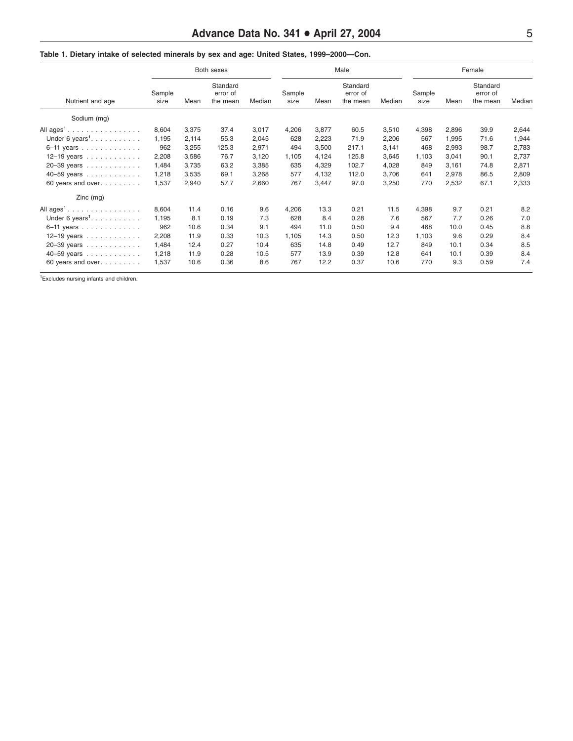| Nutrient and age                      | Both sexes     |       |                                  |        | Male           |       |                                  |        | Female         |       |                                  |        |
|---------------------------------------|----------------|-------|----------------------------------|--------|----------------|-------|----------------------------------|--------|----------------|-------|----------------------------------|--------|
|                                       | Sample<br>size | Mean  | Standard<br>error of<br>the mean | Median | Sample<br>size | Mean  | Standard<br>error of<br>the mean | Median | Sample<br>size | Mean  | Standard<br>error of<br>the mean | Median |
| Sodium (mg)                           |                |       |                                  |        |                |       |                                  |        |                |       |                                  |        |
| All ages <sup>1</sup>                 | 8,604          | 3,375 | 37.4                             | 3,017  | 4,206          | 3,877 | 60.5                             | 3,510  | 4,398          | 2,896 | 39.9                             | 2,644  |
| Under 6 years <sup>1</sup> . $\ldots$ | 1,195          | 2,114 | 55.3                             | 2,045  | 628            | 2,223 | 71.9                             | 2,206  | 567            | 1,995 | 71.6                             | 1,944  |
| $6-11$ years                          | 962            | 3,255 | 125.3                            | 2,971  | 494            | 3,500 | 217.1                            | 3,141  | 468            | 2,993 | 98.7                             | 2,783  |
| 12-19 years                           | 2,208          | 3,586 | 76.7                             | 3,120  | 1,105          | 4,124 | 125.8                            | 3,645  | 1,103          | 3,041 | 90.1                             | 2,737  |
| 20-39 years                           | 1,484          | 3,735 | 63.2                             | 3,385  | 635            | 4,329 | 102.7                            | 4,028  | 849            | 3,161 | 74.8                             | 2,871  |
| 40-59 years                           | 1,218          | 3,535 | 69.1                             | 3,268  | 577            | 4,132 | 112.0                            | 3,706  | 641            | 2,978 | 86.5                             | 2,809  |
| 60 years and over.                    | 1,537          | 2,940 | 57.7                             | 2,660  | 767            | 3,447 | 97.0                             | 3,250  | 770            | 2,532 | 67.1                             | 2,333  |
| $Zinc$ (mg)                           |                |       |                                  |        |                |       |                                  |        |                |       |                                  |        |
| All ages <sup>1</sup>                 | 8,604          | 11.4  | 0.16                             | 9.6    | 4,206          | 13.3  | 0.21                             | 11.5   | 4,398          | 9.7   | 0.21                             | 8.2    |
| Under 6 years <sup>1</sup> . $\ldots$ | 1,195          | 8.1   | 0.19                             | 7.3    | 628            | 8.4   | 0.28                             | 7.6    | 567            | 7.7   | 0.26                             | 7.0    |
| 6-11 years                            | 962            | 10.6  | 0.34                             | 9.1    | 494            | 11.0  | 0.50                             | 9.4    | 468            | 10.0  | 0.45                             | 8.8    |
| 12-19 years                           | 2,208          | 11.9  | 0.33                             | 10.3   | 1,105          | 14.3  | 0.50                             | 12.3   | 1,103          | 9.6   | 0.29                             | 8.4    |
| 20-39 years                           | 1,484          | 12.4  | 0.27                             | 10.4   | 635            | 14.8  | 0.49                             | 12.7   | 849            | 10.1  | 0.34                             | 8.5    |
| 40-59 years                           | 1,218          | 11.9  | 0.28                             | 10.5   | 577            | 13.9  | 0.39                             | 12.8   | 641            | 10.1  | 0.39                             | 8.4    |
| 60 years and over.                    | 1,537          | 10.6  | 0.36                             | 8.6    | 767            | 12.2  | 0.37                             | 10.6   | 770            | 9.3   | 0.59                             | 7.4    |

**Table 1. Dietary intake of selected minerals by sex and age: United States, 1999–2000—Con.**

1Excludes nursing infants and children.